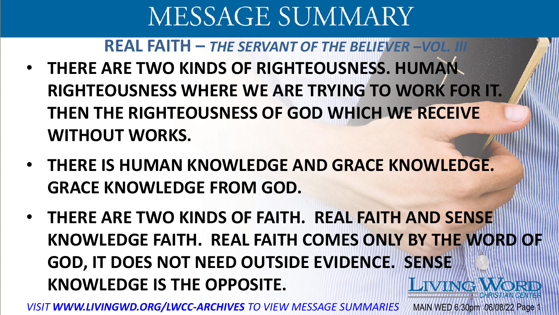#### **REAL FAITH –** *THE SERVANT OF THE BELIEVER –VOL. III*

- **THERE ARE TWO KINDS OF RIGHTEOUSNESS. HUMAN RIGHTEOUSNESS WHERE WE ARE TRYING TO WORK FOR IT. THEN THE RIGHTEOUSNESS OF GOD WHICH WE RECEIVE WITHOUT WORKS.**
- **THERE IS HUMAN KNOWLEDGE AND GRACE KNOWLEDGE. GRACE KNOWLEDGE FROM GOD.**
- **THERE ARE TWO KINDS OF FAITH. REAL FAITH AND SENSE KNOWLEDGE FAITH. REAL FAITH COMES ONLY BY THE WORD OF GOD, IT DOES NOT NEED OUTSIDE EVIDENCE. SENSE KNOWLEDGE IS THE OPPOSITE.** LIVING

*VISIT WWW.LIVINGWD.ORG/LWCC-ARCHIVES TO VIEW MESSAGE SUMMARIES* MAIN WED 6:30pm 06/08/22 Page 1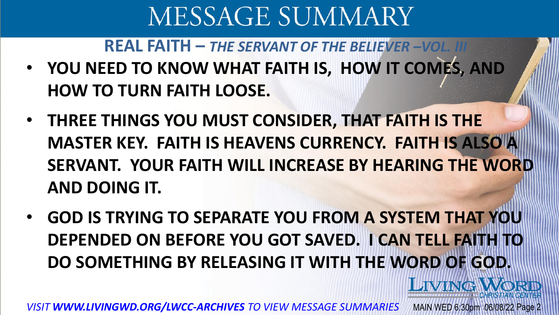**REAL FAITH –** *THE SERVANT OF THE BELIEVER –VOL. III*

- **YOU NEED TO KNOW WHAT FAITH IS, HOW IT COMES, AND HOW TO TURN FAITH LOOSE.**
- **THREE THINGS YOU MUST CONSIDER, THAT FAITH IS THE MASTER KEY. FAITH IS HEAVENS CURRENCY. FAITH IS ALSO A SERVANT. YOUR FAITH WILL INCREASE BY HEARING THE WORD AND DOING IT.**
- **GOD IS TRYING TO SEPARATE YOU FROM A SYSTEM THAT YOU DEPENDED ON BEFORE YOU GOT SAVED. I CAN TELL FAITH TO DO SOMETHING BY RELEASING IT WITH THE WORD OF GOD.**

LIVING WORL

*VISIT WWW.LIVINGWD.ORG/LWCC-ARCHIVES TO VIEW MESSAGE SUMMARIES* MAIN WED 6:30pm 06/08/22 Page 2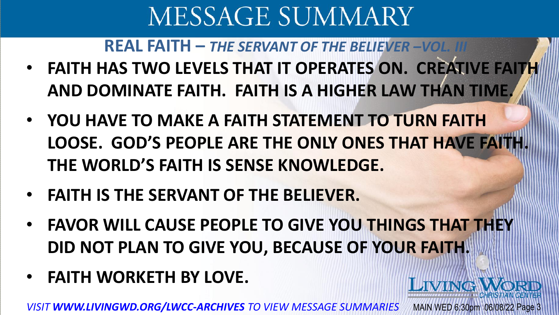**REAL FAITH –** *THE SERVANT OF THE BELIEVER –VOL. III*

- **FAITH HAS TWO LEVELS THAT IT OPERATES ON. CREATIVE FAITH AND DOMINATE FAITH. FAITH IS A HIGHER LAW THAN TIME.**
- **YOU HAVE TO MAKE A FAITH STATEMENT TO TURN FAITH LOOSE. GOD'S PEOPLE ARE THE ONLY ONES THAT HAVE FAITH. THE WORLD'S FAITH IS SENSE KNOWLEDGE.**
- **FAITH IS THE SERVANT OF THE BELIEVER.**
- **FAVOR WILL CAUSE PEOPLE TO GIVE YOU THINGS THAT THEY DID NOT PLAN TO GIVE YOU, BECAUSE OF YOUR FAITH.**

**LIVING.** 

• **FAITH WORKETH BY LOVE.**

*VISIT WWW.LIVINGWD.ORG/LWCC-ARCHIVES TO VIEW MESSAGE SUMMARIES* MAIN WED 6:30pm 06/08/22 Page 3